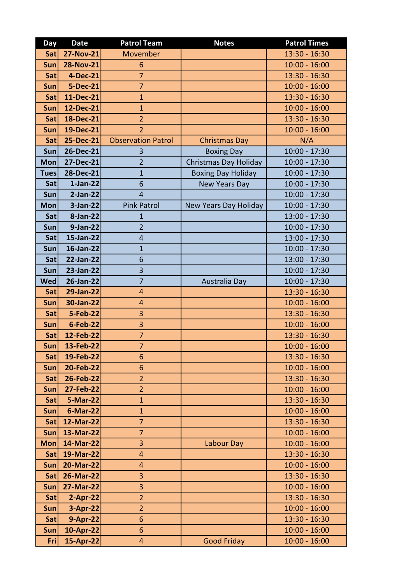| Day               | <b>Date</b>                  | <b>Patrol Team</b>           | <b>Notes</b>              | <b>Patrol Times</b>              |
|-------------------|------------------------------|------------------------------|---------------------------|----------------------------------|
| Satl              | <b>27-Nov-21</b>             | Movember                     |                           | 13:30 - 16:30                    |
| <b>Sun</b>        | <b>28-Nov-21</b>             | 6                            |                           | $10:00 - 16:00$                  |
| Sat               | 4-Dec-21                     | $\overline{7}$               |                           | 13:30 - 16:30                    |
| Sun               | <b>5-Dec-21</b>              | $\overline{7}$               |                           | $10:00 - 16:00$                  |
| <b>Sat</b>        | 11-Dec-21                    | $\mathbf{1}$                 |                           | $13:30 - 16:30$                  |
| Sun               | 12-Dec-21                    | $\mathbf{1}$                 |                           | $10:00 - 16:00$                  |
| Sat               | 18-Dec-21                    | $\overline{2}$               |                           | $13:30 - 16:30$                  |
| Sun               | 19-Dec-21                    | $\overline{2}$               |                           | $10:00 - 16:00$                  |
| Sat               | 25-Dec-21                    | <b>Observation Patrol</b>    | <b>Christmas Day</b>      | N/A                              |
| Sun               | 26-Dec-21                    | 3                            | <b>Boxing Day</b>         | $10:00 - 17:30$                  |
| <b>Mon</b>        | 27-Dec-21                    | $\overline{2}$               | Christmas Day Holiday     | $10:00 - 17:30$                  |
| <b>Tues</b>       | 28-Dec-21                    | $\overline{1}$               | <b>Boxing Day Holiday</b> | $10:00 - 17:30$                  |
| Sat               | $1-Jan-22$                   | 6                            | <b>New Years Day</b>      | $10:00 - 17:30$                  |
| Sun               | $2-Jan-22$                   | $\overline{4}$               |                           | $10:00 - 17:30$                  |
| <b>Mon</b>        | 3-Jan-22                     | <b>Pink Patrol</b>           | New Years Day Holiday     | $10:00 - 17:30$                  |
| Sat               | 8-Jan-22                     | $\mathbf{1}$                 |                           | 13:00 - 17:30                    |
| <b>Sun</b>        | 9-Jan-22                     | $\overline{2}$               |                           | $10:00 - 17:30$                  |
| Sat               | 15-Jan-22                    | $\overline{4}$               |                           | 13:00 - 17:30                    |
| Sun               | 16-Jan-22                    | $\mathbf{1}$                 |                           | $10:00 - 17:30$                  |
| Sat               | 22-Jan-22                    | 6                            |                           | $13:00 - 17:30$                  |
| <b>Sun</b>        | 23-Jan-22                    | $\overline{3}$               |                           | $10:00 - 17:30$                  |
| <b>Wed</b>        | 26-Jan-22                    | $\overline{7}$               | Australia Day             | $10:00 - 17:30$                  |
| Sat               | 29-Jan-22                    | 4                            |                           | $13:30 - 16:30$                  |
| Sun               | 30-Jan-22                    | $\overline{4}$               |                           | $10:00 - 16:00$                  |
| Sat               | <b>5-Feb-22</b>              | 3                            |                           | $13:30 - 16:30$                  |
| Sun               | 6-Feb-22                     | 3                            |                           | $10:00 - 16:00$                  |
| Sat               | 12-Feb-22                    | $\overline{7}$               |                           | 13:30 - 16:30                    |
| Sun               | 13-Feb-22                    | 7                            |                           | $10:00 - 16:00$                  |
| <b>Sat</b>        | 19-Feb-22                    | 6                            |                           | 13:30 - 16:30                    |
| Sun               | 20-Feb-22                    | 6                            |                           | $10:00 - 16:00$                  |
| Sat               | 26-Feb-22                    | $\overline{2}$               |                           | $13:30 - 16:30$                  |
| <b>Sun</b>        | <b>27-Feb-22</b><br>5-Mar-22 | $\overline{2}$               |                           | $10:00 - 16:00$                  |
| Sat<br><b>Sun</b> | 6-Mar-22                     | $\mathbf{1}$<br>$\mathbf{1}$ |                           | 13:30 - 16:30<br>$10:00 - 16:00$ |
| Satl              | 12-Mar-22                    | $\overline{7}$               |                           | $13:30 - 16:30$                  |
| Sun               | 13-Mar-22                    | $\overline{7}$               |                           | $10:00 - 16:00$                  |
| <b>Mon</b>        | 14-Mar-22                    | 3                            | Labour Day                | $10:00 - 16:00$                  |
| <b>Sat</b>        | 19-Mar-22                    | 4                            |                           | $13:30 - 16:30$                  |
| Sun               | 20-Mar-22                    | $\overline{\mathbf{4}}$      |                           | $10:00 - 16:00$                  |
| <b>Sat</b>        | 26-Mar-22                    | 3                            |                           | $13:30 - 16:30$                  |
| Sun               | 27-Mar-22                    | 3                            |                           | $10:00 - 16:00$                  |
| Sat               | $2-Apr-22$                   | $\overline{2}$               |                           | $13:30 - 16:30$                  |
| Sun               | 3-Apr-22                     | $\overline{2}$               |                           | $10:00 - 16:00$                  |
| Sat               | 9-Apr-22                     | 6                            |                           | 13:30 - 16:30                    |
| Sun               | 10-Apr-22                    | 6                            |                           | $10:00 - 16:00$                  |
| Fri               | 15-Apr-22                    | $\overline{4}$               | <b>Good Friday</b>        | $10:00 - 16:00$                  |